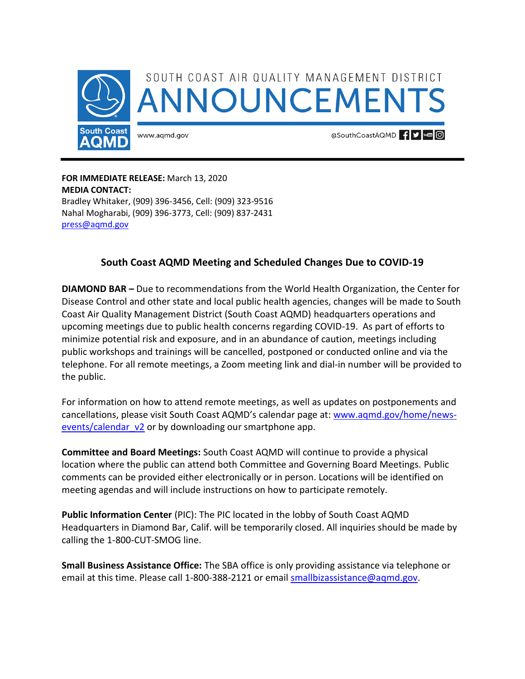

**FOR IMMEDIATE RELEASE:** March 13, 2020 **MEDIA CONTACT:**  Bradley Whitaker, (909) 396-3456, Cell: (909) 323-9516 Nahal Mogharabi, (909) 396-3773, Cell: (909) 837-2431 [press@aqmd.gov](mailto:press@aqmd.gov)

## **South Coast AQMD Meeting and Scheduled Changes Due to COVID-19**

**DIAMOND BAR –** Due to recommendations from the World Health Organization, the Center for Disease Control and other state and local public health agencies, changes will be made to South Coast Air Quality Management District (South Coast AQMD) headquarters operations and upcoming meetings due to public health concerns regarding COVID-19. As part of efforts to minimize potential risk and exposure, and in an abundance of caution, meetings including public workshops and trainings will be cancelled, postponed or conducted online and via the telephone. For all remote meetings, a Zoom meeting link and dial-in number will be provided to the public.

For information on how to attend remote meetings, as well as updates on postponements and cancellations, please visit South Coast AQMD's calendar page at: [www.aqmd.gov/home/news](http://www.aqmd.gov/home/news-events/calendar_v2)[events/calendar\\_v2](http://www.aqmd.gov/home/news-events/calendar_v2) or by downloading our smartphone app.

**Committee and Board Meetings:** South Coast AQMD will continue to provide a physical location where the public can attend both Committee and Governing Board Meetings. Public comments can be provided either electronically or in person. Locations will be identified on meeting agendas and will include instructions on how to participate remotely.

**Public Information Center** (PIC): The PIC located in the lobby of South Coast AQMD Headquarters in Diamond Bar, Calif. will be temporarily closed. All inquiries should be made by calling the 1-800-CUT-SMOG line.

**Small Business Assistance Office:** The SBA office is only providing assistance via telephone or email at this time. Please call 1-800-388-2121 or email [smallbizassistance@aqmd.gov.](mailto:smallbizassistance@aqmd.gov)